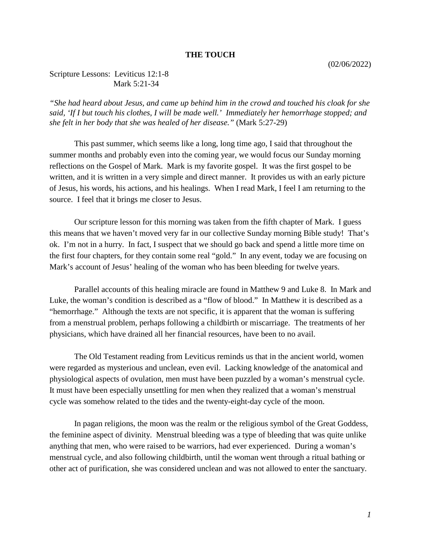## **THE TOUCH**

## Scripture Lessons: Leviticus 12:1-8 Mark 5:21-34

*"She had heard about Jesus, and came up behind him in the crowd and touched his cloak for she said, 'If I but touch his clothes, I will be made well.' Immediately her hemorrhage stopped; and she felt in her body that she was healed of her disease."* (Mark 5:27-29)

This past summer, which seems like a long, long time ago, I said that throughout the summer months and probably even into the coming year, we would focus our Sunday morning reflections on the Gospel of Mark. Mark is my favorite gospel. It was the first gospel to be written, and it is written in a very simple and direct manner. It provides us with an early picture of Jesus, his words, his actions, and his healings. When I read Mark, I feel I am returning to the source. I feel that it brings me closer to Jesus.

Our scripture lesson for this morning was taken from the fifth chapter of Mark. I guess this means that we haven't moved very far in our collective Sunday morning Bible study! That's ok. I'm not in a hurry. In fact, I suspect that we should go back and spend a little more time on the first four chapters, for they contain some real "gold." In any event, today we are focusing on Mark's account of Jesus' healing of the woman who has been bleeding for twelve years.

Parallel accounts of this healing miracle are found in Matthew 9 and Luke 8. In Mark and Luke, the woman's condition is described as a "flow of blood." In Matthew it is described as a "hemorrhage." Although the texts are not specific, it is apparent that the woman is suffering from a menstrual problem, perhaps following a childbirth or miscarriage. The treatments of her physicians, which have drained all her financial resources, have been to no avail.

The Old Testament reading from Leviticus reminds us that in the ancient world, women were regarded as mysterious and unclean, even evil. Lacking knowledge of the anatomical and physiological aspects of ovulation, men must have been puzzled by a woman's menstrual cycle. It must have been especially unsettling for men when they realized that a woman's menstrual cycle was somehow related to the tides and the twenty-eight-day cycle of the moon.

In pagan religions, the moon was the realm or the religious symbol of the Great Goddess, the feminine aspect of divinity. Menstrual bleeding was a type of bleeding that was quite unlike anything that men, who were raised to be warriors, had ever experienced. During a woman's menstrual cycle, and also following childbirth, until the woman went through a ritual bathing or other act of purification, she was considered unclean and was not allowed to enter the sanctuary.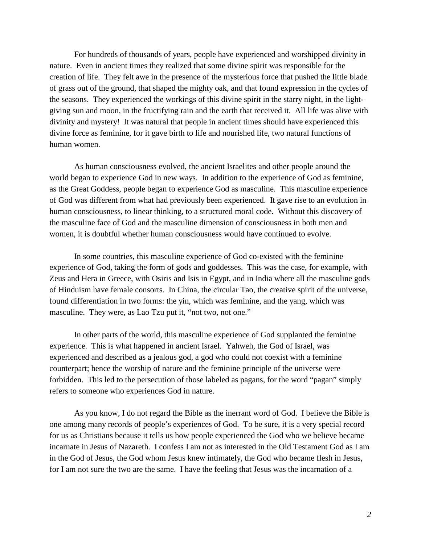For hundreds of thousands of years, people have experienced and worshipped divinity in nature. Even in ancient times they realized that some divine spirit was responsible for the creation of life. They felt awe in the presence of the mysterious force that pushed the little blade of grass out of the ground, that shaped the mighty oak, and that found expression in the cycles of the seasons. They experienced the workings of this divine spirit in the starry night, in the lightgiving sun and moon, in the fructifying rain and the earth that received it. All life was alive with divinity and mystery! It was natural that people in ancient times should have experienced this divine force as feminine, for it gave birth to life and nourished life, two natural functions of human women.

As human consciousness evolved, the ancient Israelites and other people around the world began to experience God in new ways. In addition to the experience of God as feminine, as the Great Goddess, people began to experience God as masculine. This masculine experience of God was different from what had previously been experienced. It gave rise to an evolution in human consciousness, to linear thinking, to a structured moral code. Without this discovery of the masculine face of God and the masculine dimension of consciousness in both men and women, it is doubtful whether human consciousness would have continued to evolve.

In some countries, this masculine experience of God co-existed with the feminine experience of God, taking the form of gods and goddesses. This was the case, for example, with Zeus and Hera in Greece, with Osiris and Isis in Egypt, and in India where all the masculine gods of Hinduism have female consorts. In China, the circular Tao, the creative spirit of the universe, found differentiation in two forms: the yin, which was feminine, and the yang, which was masculine. They were, as Lao Tzu put it, "not two, not one."

In other parts of the world, this masculine experience of God supplanted the feminine experience. This is what happened in ancient Israel. Yahweh, the God of Israel, was experienced and described as a jealous god, a god who could not coexist with a feminine counterpart; hence the worship of nature and the feminine principle of the universe were forbidden. This led to the persecution of those labeled as pagans, for the word "pagan" simply refers to someone who experiences God in nature.

As you know, I do not regard the Bible as the inerrant word of God. I believe the Bible is one among many records of people's experiences of God. To be sure, it is a very special record for us as Christians because it tells us how people experienced the God who we believe became incarnate in Jesus of Nazareth. I confess I am not as interested in the Old Testament God as I am in the God of Jesus, the God whom Jesus knew intimately, the God who became flesh in Jesus, for I am not sure the two are the same. I have the feeling that Jesus was the incarnation of a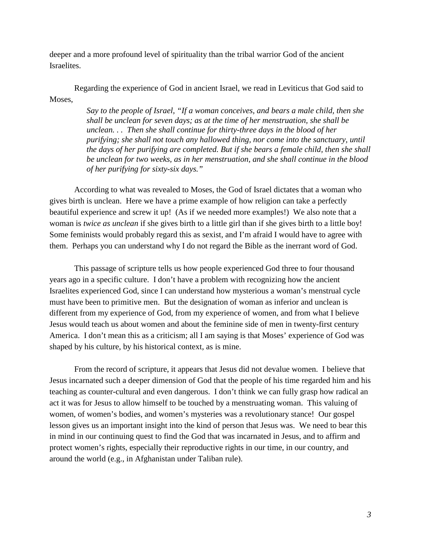deeper and a more profound level of spirituality than the tribal warrior God of the ancient Israelites.

Regarding the experience of God in ancient Israel, we read in Leviticus that God said to Moses,

> *Say to the people of Israel, "If a woman conceives, and bears a male child, then she shall be unclean for seven days; as at the time of her menstruation, she shall be unclean. . . Then she shall continue for thirty-three days in the blood of her purifying; she shall not touch any hallowed thing, nor come into the sanctuary, until the days of her purifying are completed. But if she bears a female child, then she shall be unclean for two weeks, as in her menstruation, and she shall continue in the blood of her purifying for sixty-six days."*

According to what was revealed to Moses, the God of Israel dictates that a woman who gives birth is unclean. Here we have a prime example of how religion can take a perfectly beautiful experience and screw it up! (As if we needed more examples!) We also note that a woman is *twice as unclean* if she gives birth to a little girl than if she gives birth to a little boy! Some feminists would probably regard this as sexist, and I'm afraid I would have to agree with them. Perhaps you can understand why I do not regard the Bible as the inerrant word of God.

This passage of scripture tells us how people experienced God three to four thousand years ago in a specific culture. I don't have a problem with recognizing how the ancient Israelites experienced God, since I can understand how mysterious a woman's menstrual cycle must have been to primitive men. But the designation of woman as inferior and unclean is different from my experience of God, from my experience of women, and from what I believe Jesus would teach us about women and about the feminine side of men in twenty-first century America. I don't mean this as a criticism; all I am saying is that Moses' experience of God was shaped by his culture, by his historical context, as is mine.

From the record of scripture, it appears that Jesus did not devalue women. I believe that Jesus incarnated such a deeper dimension of God that the people of his time regarded him and his teaching as counter-cultural and even dangerous. I don't think we can fully grasp how radical an act it was for Jesus to allow himself to be touched by a menstruating woman. This valuing of women, of women's bodies, and women's mysteries was a revolutionary stance! Our gospel lesson gives us an important insight into the kind of person that Jesus was. We need to bear this in mind in our continuing quest to find the God that was incarnated in Jesus, and to affirm and protect women's rights, especially their reproductive rights in our time, in our country, and around the world (e.g., in Afghanistan under Taliban rule).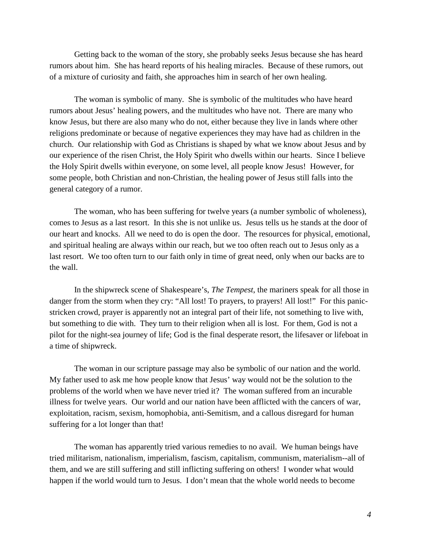Getting back to the woman of the story, she probably seeks Jesus because she has heard rumors about him. She has heard reports of his healing miracles. Because of these rumors, out of a mixture of curiosity and faith, she approaches him in search of her own healing.

The woman is symbolic of many. She is symbolic of the multitudes who have heard rumors about Jesus' healing powers, and the multitudes who have not. There are many who know Jesus, but there are also many who do not, either because they live in lands where other religions predominate or because of negative experiences they may have had as children in the church. Our relationship with God as Christians is shaped by what we know about Jesus and by our experience of the risen Christ, the Holy Spirit who dwells within our hearts. Since I believe the Holy Spirit dwells within everyone, on some level, all people know Jesus! However, for some people, both Christian and non-Christian, the healing power of Jesus still falls into the general category of a rumor.

The woman, who has been suffering for twelve years (a number symbolic of wholeness), comes to Jesus as a last resort. In this she is not unlike us. Jesus tells us he stands at the door of our heart and knocks. All we need to do is open the door. The resources for physical, emotional, and spiritual healing are always within our reach, but we too often reach out to Jesus only as a last resort. We too often turn to our faith only in time of great need, only when our backs are to the wall.

In the shipwreck scene of Shakespeare's, *The Tempest*, the mariners speak for all those in danger from the storm when they cry: "All lost! To prayers, to prayers! All lost!" For this panicstricken crowd, prayer is apparently not an integral part of their life, not something to live with, but something to die with. They turn to their religion when all is lost. For them, God is not a pilot for the night-sea journey of life; God is the final desperate resort, the lifesaver or lifeboat in a time of shipwreck.

The woman in our scripture passage may also be symbolic of our nation and the world. My father used to ask me how people know that Jesus' way would not be the solution to the problems of the world when we have never tried it? The woman suffered from an incurable illness for twelve years. Our world and our nation have been afflicted with the cancers of war, exploitation, racism, sexism, homophobia, anti-Semitism, and a callous disregard for human suffering for a lot longer than that!

The woman has apparently tried various remedies to no avail. We human beings have tried militarism, nationalism, imperialism, fascism, capitalism, communism, materialism--all of them, and we are still suffering and still inflicting suffering on others! I wonder what would happen if the world would turn to Jesus. I don't mean that the whole world needs to become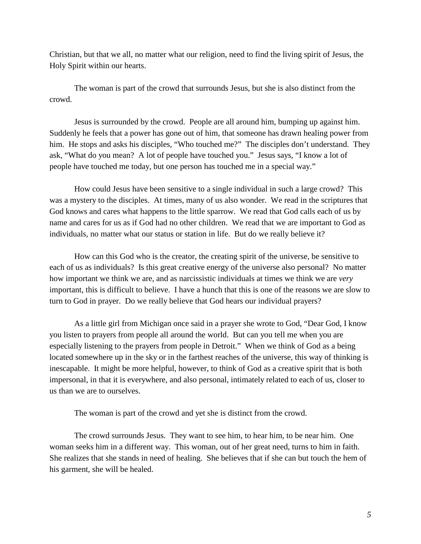Christian, but that we all, no matter what our religion, need to find the living spirit of Jesus, the Holy Spirit within our hearts.

The woman is part of the crowd that surrounds Jesus, but she is also distinct from the crowd.

Jesus is surrounded by the crowd. People are all around him, bumping up against him. Suddenly he feels that a power has gone out of him, that someone has drawn healing power from him. He stops and asks his disciples, "Who touched me?" The disciples don't understand. They ask, "What do you mean? A lot of people have touched you." Jesus says, "I know a lot of people have touched me today, but one person has touched me in a special way."

How could Jesus have been sensitive to a single individual in such a large crowd? This was a mystery to the disciples. At times, many of us also wonder. We read in the scriptures that God knows and cares what happens to the little sparrow. We read that God calls each of us by name and cares for us as if God had no other children. We read that we are important to God as individuals, no matter what our status or station in life. But do we really believe it?

How can this God who is the creator, the creating spirit of the universe, be sensitive to each of us as individuals? Is this great creative energy of the universe also personal? No matter how important we think we are, and as narcissistic individuals at times we think we are *very* important, this is difficult to believe. I have a hunch that this is one of the reasons we are slow to turn to God in prayer. Do we really believe that God hears our individual prayers?

As a little girl from Michigan once said in a prayer she wrote to God, "Dear God, I know you listen to prayers from people all around the world. But can you tell me when you are especially listening to the prayers from people in Detroit." When we think of God as a being located somewhere up in the sky or in the farthest reaches of the universe, this way of thinking is inescapable. It might be more helpful, however, to think of God as a creative spirit that is both impersonal, in that it is everywhere, and also personal, intimately related to each of us, closer to us than we are to ourselves.

The woman is part of the crowd and yet she is distinct from the crowd.

The crowd surrounds Jesus. They want to see him, to hear him, to be near him. One woman seeks him in a different way. This woman, out of her great need, turns to him in faith. She realizes that she stands in need of healing. She believes that if she can but touch the hem of his garment, she will be healed.